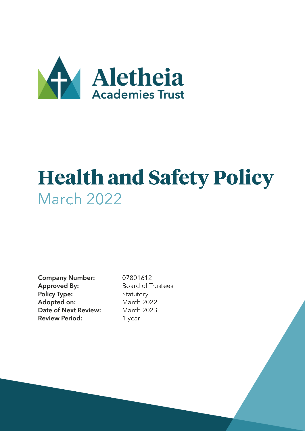

# **Health and Safety Policy** March 2022

Company Number: 07801612 Approved By: Board of Trustees Policy Type: Statutory Adopted on: March 2022 Date of Next Review: March 2023 Review Period: 1 year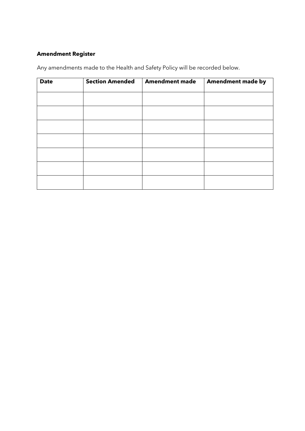## **Amendment Register**

Any amendments made to the Health and Safety Policy will be recorded below.

| <b>Date</b> | <b>Section Amended</b> | <b>Amendment made</b> | <b>Amendment made by</b> |
|-------------|------------------------|-----------------------|--------------------------|
|             |                        |                       |                          |
|             |                        |                       |                          |
|             |                        |                       |                          |
|             |                        |                       |                          |
|             |                        |                       |                          |
|             |                        |                       |                          |
|             |                        |                       |                          |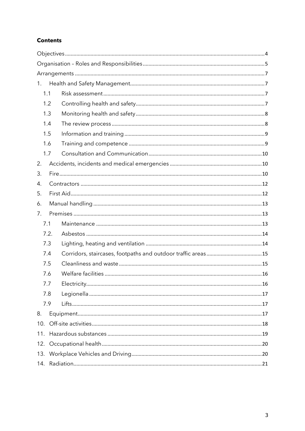## **Contents**

| 1.  |      |  |
|-----|------|--|
| 1.1 |      |  |
| 1.2 |      |  |
| 1.3 |      |  |
| 1.4 |      |  |
| 1.5 |      |  |
| 1.6 |      |  |
| 1.7 |      |  |
| 2.  |      |  |
| 3.  |      |  |
| 4.  |      |  |
| 5.  |      |  |
| 6.  |      |  |
| 7.  |      |  |
| 7.1 |      |  |
|     | 7.2. |  |
| 7.3 |      |  |
| 7.4 |      |  |
| 7.5 |      |  |
| 7.6 |      |  |
| 7.7 |      |  |
| 7.8 |      |  |
| 7.9 |      |  |
| 8.  |      |  |
| 10. |      |  |
| 11. |      |  |
|     |      |  |
|     |      |  |
|     |      |  |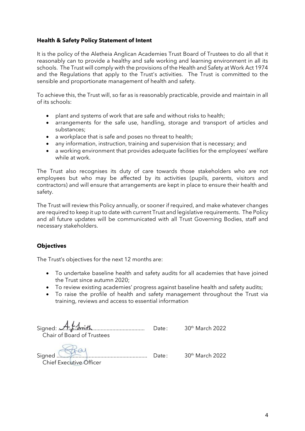## **Health & Safety Policy Statement of Intent**

It is the policy of the Aletheia Anglican Academies Trust Board of Trustees to do all that it reasonably can to provide a healthy and safe working and learning environment in all its schools. The Trust will comply with the provisions of the Health and Safety at Work Act 1974 and the Regulations that apply to the Trust's activities. The Trust is committed to the sensible and proportionate management of health and safety.

To achieve this, the Trust will, so far as is reasonably practicable, provide and maintain in all of its schools:

- plant and systems of work that are safe and without risks to health;
- arrangements for the safe use, handling, storage and transport of articles and substances;
- a workplace that is safe and poses no threat to health;
- any information, instruction, training and supervision that is necessary; and
- a working environment that provides adequate facilities for the employees' welfare while at work.

The Trust also recognises its duty of care towards those stakeholders who are not employees but who may be affected by its activities (pupils, parents, visitors and contractors) and will ensure that arrangements are kept in place to ensure their health and safety.

The Trust will review this Policy annually, or sooner if required, and make whatever changes are required to keep it up to date with current Trust and legislative requirements. The Policy and all future updates will be communicated with all Trust Governing Bodies, staff and necessary stakeholders.

## <span id="page-3-0"></span>**Objectives**

The Trust's objectives for the next 12 months are:

- To undertake baseline health and safety audits for all academies that have joined the Trust since autumn 2020;
- To review existing academies' progress against baseline health and safety audits;
- To raise the profile of health and safety management throughout the Trust via training, reviews and access to essential information

| Signed $A.f.d\nwith$<br>Chair of Board of Trustees | Date:             | $30th$ March 2022           |
|----------------------------------------------------|-------------------|-----------------------------|
| Signed                                             | $\mathsf{Date}$ : | 30 <sup>th</sup> March 2022 |

Chief Executive Officer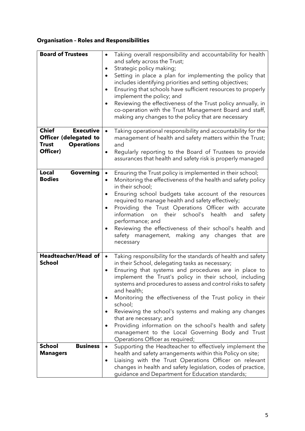# <span id="page-4-0"></span>**Organisation – Roles and Responsibilities**

| <b>Board of Trustees</b>                                                                                   | Taking overall responsibility and accountability for health<br>$\bullet$<br>and safety across the Trust;<br>Strategic policy making;<br>Setting in place a plan for implementing the policy that<br>$\bullet$<br>includes identifying priorities and setting objectives;<br>Ensuring that schools have sufficient resources to properly<br>implement the policy; and<br>Reviewing the effectiveness of the Trust policy annually, in<br>co-operation with the Trust Management Board and staff,<br>making any changes to the policy that are necessary                                                                                                    |
|------------------------------------------------------------------------------------------------------------|-----------------------------------------------------------------------------------------------------------------------------------------------------------------------------------------------------------------------------------------------------------------------------------------------------------------------------------------------------------------------------------------------------------------------------------------------------------------------------------------------------------------------------------------------------------------------------------------------------------------------------------------------------------|
| <b>Chief</b><br><b>Executive</b><br>Officer (delegated to<br><b>Operations</b><br><b>Trust</b><br>Officer) | Taking operational responsibility and accountability for the<br>$\bullet$<br>management of health and safety matters within the Trust;<br>and<br>Regularly reporting to the Board of Trustees to provide<br>$\bullet$<br>assurances that health and safety risk is properly managed                                                                                                                                                                                                                                                                                                                                                                       |
| Local<br>Governing<br><b>Bodies</b>                                                                        | Ensuring the Trust policy is implemented in their school;<br>$\bullet$<br>Monitoring the effectiveness of the health and safety policy<br>$\bullet$<br>in their school;<br>Ensuring school budgets take account of the resources<br>required to manage health and safety effectively;<br>Providing the Trust Operations Officer with accurate<br>information on their school's health<br>and<br>safety<br>performance; and<br>Reviewing the effectiveness of their school's health and<br>safety management, making any changes that<br>are<br>necessary                                                                                                  |
| Headteacher/Head of<br><b>School</b>                                                                       | Taking responsibility for the standards of health and safety<br>$\bullet$<br>in their School, delegating tasks as necessary;<br>Ensuring that systems and procedures are in place to<br>$\bullet$<br>implement the Trust's policy in their school, including<br>systems and procedures to assess and control risks to safety<br>and health;<br>Monitoring the effectiveness of the Trust policy in their<br>school;<br>Reviewing the school's systems and making any changes<br>that are necessary; and<br>Providing information on the school's health and safety<br>management to the Local Governing Body and Trust<br>Operations Officer as required; |
| <b>Business</b><br><b>School</b><br><b>Managers</b>                                                        | Supporting the Headteacher to effectively implement the<br>$\bullet$<br>health and safety arrangements within this Policy on site;<br>Liaising with the Trust Operations Officer on relevant<br>$\bullet$<br>changes in health and safety legislation, codes of practice,<br>guidance and Department for Education standards;                                                                                                                                                                                                                                                                                                                             |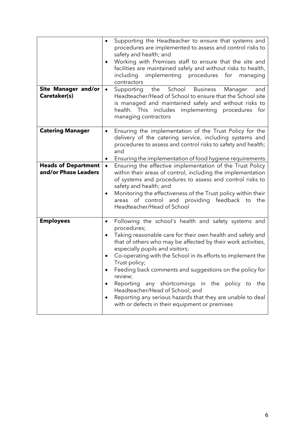| <b>Site Manager and/or</b><br>Caretaker(s)         | Supporting the Headteacher to ensure that systems and<br>$\bullet$<br>procedures are implemented to assess and control risks to<br>safety and health; and<br>Working with Premises staff to ensure that the site and<br>$\bullet$<br>facilities are maintained safely and without risks to health,<br>implementing procedures for<br>including<br>managing<br>contractors<br>School Business<br>the<br>Manager<br>Supporting<br>and<br>$\bullet$<br>Headteacher/Head of School to ensure that the School site<br>is managed and maintained safely and without risks to<br>health. This includes implementing procedures for<br>managing contractors |
|----------------------------------------------------|-----------------------------------------------------------------------------------------------------------------------------------------------------------------------------------------------------------------------------------------------------------------------------------------------------------------------------------------------------------------------------------------------------------------------------------------------------------------------------------------------------------------------------------------------------------------------------------------------------------------------------------------------------|
| <b>Catering Manager</b>                            | Ensuring the implementation of the Trust Policy for the<br>$\bullet$<br>delivery of the catering service, including systems and<br>procedures to assess and control risks to safety and health;<br>and<br>Ensuring the implementation of food hygiene requirements<br>٠                                                                                                                                                                                                                                                                                                                                                                             |
| <b>Heads of Department</b><br>and/or Phase Leaders | Ensuring the effective implementation of the Trust Policy<br>$\bullet$<br>within their areas of control, including the implementation<br>of systems and procedures to assess and control risks to<br>safety and health; and<br>Monitoring the effectiveness of the Trust policy within their<br>areas of control and providing feedback to<br>the<br>Headteacher/Head of School                                                                                                                                                                                                                                                                     |
| <b>Employees</b>                                   | Following the school's health and safety systems and<br>$\bullet$<br>procedures;<br>Taking reasonable care for their own health and safety and<br>$\bullet$<br>that of others who may be affected by their work activities,<br>especially pupils and visitors;<br>Co-operating with the School in its efforts to implement the<br>$\bullet$<br>Trust policy;<br>Feeding back comments and suggestions on the policy for<br>review;<br>Reporting any shortcomings in the policy to the<br>٠<br>Headteacher/Head of School; and<br>Reporting any serious hazards that they are unable to deal<br>with or defects in their equipment or premises       |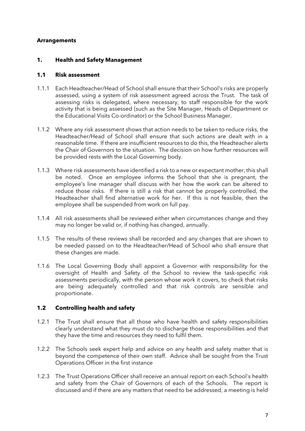## <span id="page-6-0"></span>**Arrangements**

#### <span id="page-6-1"></span>**1. Health and Safety Management**

#### <span id="page-6-2"></span>**1.1 Risk assessment**

- 1.1.1 Each Headteacher/Head of School shall ensure that their School's risks are properly assessed, using a system of risk assessment agreed across the Trust. The task of assessing risks is delegated, where necessary, to staff responsible for the work activity that is being assessed (such as the Site Manager, Heads of Department or the Educational Visits Co-ordinator) or the School Business Manager.
- 1.1.2 Where any risk assessment shows that action needs to be taken to reduce risks, the Headteacher/Head of School shall ensure that such actions are dealt with in a reasonable time. If there are insufficient resources to do this, the Headteacher alerts the Chair of Governors to the situation. The decision on how further resources will be provided rests with the Local Governing body.
- 1.1.3 Where risk assessments have identified a risk to a new or expectant mother, this shall be noted. Once an employee informs the School that she is pregnant, the employee's line manager shall discuss with her how the work can be altered to reduce those risks. If there is still a risk that cannot be properly controlled, the Headteacher shall find alternative work for her. If this is not feasible, then the employee shall be suspended from work on full pay.
- 1.1.4 All risk assessments shall be reviewed either when circumstances change and they may no longer be valid or, if nothing has changed, annually.
- 1.1.5 The results of these reviews shall be recorded and any changes that are shown to be needed passed on to the Headteacher/Head of School who shall ensure that these changes are made.
- 1.1.6 The Local Governing Body shall appoint a Governor with responsibility for the oversight of Health and Safety of the School to review the task-specific risk assessments periodically, with the person whose work it covers, to check that risks are being adequately controlled and that risk controls are sensible and proportionate.

#### <span id="page-6-3"></span>**1.2 Controlling health and safety**

- 1.2.1 The Trust shall ensure that all those who have health and safety responsibilities clearly understand what they must do to discharge those responsibilities and that they have the time and resources they need to fulfil them.
- 1.2.2 The Schools seek expert help and advice on any health and safety matter that is beyond the competence of their own staff. Advice shall be sought from the Trust Operations Officer in the first instance
- 1.2.3 The Trust Operations Officer shall receive an annual report on each School's health and safety from the Chair of Governors of each of the Schools. The report is discussed and if there are any matters that need to be addressed, a meeting is held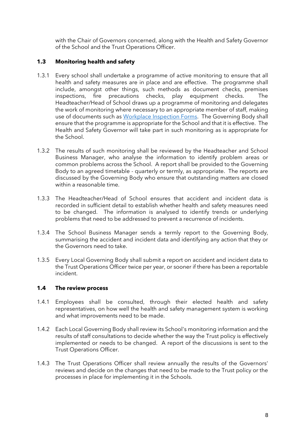with the Chair of Governors concerned, along with the Health and Safety Governor of the School and the Trust Operations Officer.

## <span id="page-7-0"></span>**1.3 Monitoring health and safety**

- 1.3.1 Every school shall undertake a programme of active monitoring to ensure that all health and safety measures are in place and are effective. The programme shall include, amongst other things, such methods as document checks, premises inspections, fire precautions checks, play equipment checks. The Headteacher/Head of School draws up a programme of monitoring and delegates the work of monitoring where necessary to an appropriate member of staff, making use of documents such as [Workplace Inspection Forms.](https://saintgeorgescofeschool647-my.sharepoint.com/:w:/g/personal/thomasn_saintgeorgescofe_kent_sch_uk/EWZrdl4T89lLrj1P-f_Ts7IBrrm_ZwSgrvGoE6HHesruzg?e=iWMTt8) The Governing Body shall ensure that the programme is appropriate for the School and that it is effective. The Health and Safety Governor will take part in such monitoring as is appropriate for the School.
- 1.3.2 The results of such monitoring shall be reviewed by the Headteacher and School Business Manager, who analyse the information to identify problem areas or common problems across the School. A report shall be provided to the Governing Body to an agreed timetable - quarterly or termly, as appropriate. The reports are discussed by the Governing Body who ensure that outstanding matters are closed within a reasonable time.
- 1.3.3 The Headteacher/Head of School ensures that accident and incident data is recorded in sufficient detail to establish whether health and safety measures need to be changed. The information is analysed to identify trends or underlying problems that need to be addressed to prevent a recurrence of incidents.
- 1.3.4 The School Business Manager sends a termly report to the Governing Body, summarising the accident and incident data and identifying any action that they or the Governors need to take.
- 1.3.5 Every Local Governing Body shall submit a report on accident and incident data to the Trust Operations Officer twice per year, or sooner if there has been a reportable incident.

## <span id="page-7-1"></span>**1.4 The review process**

- 1.4.1 Employees shall be consulted, through their elected health and safety representatives, on how well the health and safety management system is working and what improvements need to be made.
- 1.4.2 Each Local Governing Body shall review its School's monitoring information and the results of staff consultations to decide whether the way the Trust policy is effectively implemented or needs to be changed. A report of the discussions is sent to the Trust Operations Officer.
- 1.4.3 The Trust Operations Officer shall review annually the results of the Governors' reviews and decide on the changes that need to be made to the Trust policy or the processes in place for implementing it in the Schools.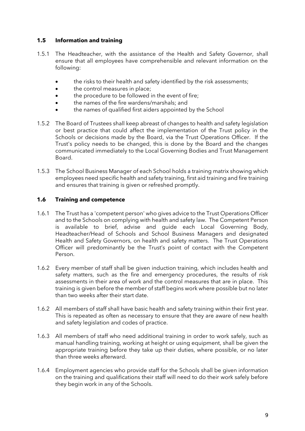## <span id="page-8-0"></span>**1.5 Information and training**

- 1.5.1 The Headteacher, with the assistance of the Health and Safety Governor, shall ensure that all employees have comprehensible and relevant information on the following:
	- the risks to their health and safety identified by the risk assessments;
	- the control measures in place;
	- the procedure to be followed in the event of fire;
	- the names of the fire wardens/marshals; and
	- the names of qualified first aiders appointed by the School
- 1.5.2 The Board of Trustees shall keep abreast of changes to health and safety legislation or best practice that could affect the implementation of the Trust policy in the Schools or decisions made by the Board, via the Trust Operations Officer. If the Trust's policy needs to be changed, this is done by the Board and the changes communicated immediately to the Local Governing Bodies and Trust Management Board.
- 1.5.3 The School Business Manager of each School holds a training matrix showing which employees need specific health and safety training, first aid training and fire training and ensures that training is given or refreshed promptly.

## <span id="page-8-1"></span>**1.6 Training and competence**

- 1.6.1 The Trust has a 'competent person' who gives advice to the Trust Operations Officer and to the Schools on complying with health and safety law. The Competent Person is available to brief, advise and guide each Local Governing Body, Headteacher/Head of Schools and School Business Managers and designated Health and Safety Governors, on health and safety matters. The Trust Operations Officer will predominantly be the Trust's point of contact with the Competent Person.
- 1.6.2 Every member of staff shall be given induction training, which includes health and safety matters, such as the fire and emergency procedures, the results of risk assessments in their area of work and the control measures that are in place. This training is given before the member of staff begins work where possible but no later than two weeks after their start date.
- 1.6.2 All members of staff shall have basic health and safety training within their first year. This is repeated as often as necessary to ensure that they are aware of new health and safety legislation and codes of practice.
- 1.6.3 All members of staff who need additional training in order to work safely, such as manual handling training, working at height or using equipment, shall be given the appropriate training before they take up their duties, where possible, or no later than three weeks afterward.
- 1.6.4 Employment agencies who provide staff for the Schools shall be given information on the training and qualifications their staff will need to do their work safely before they begin work in any of the Schools.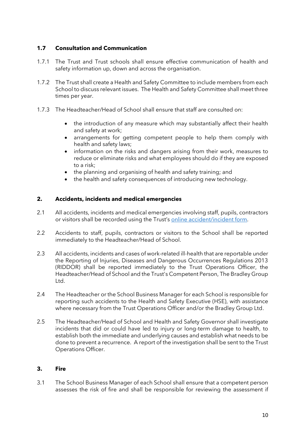## <span id="page-9-0"></span>**1.7 Consultation and Communication**

- 1.7.1 The Trust and Trust schools shall ensure effective communication of health and safety information up, down and across the organisation.
- 1.7.2 The Trust shall create a Health and Safety Committee to include members from each School to discuss relevant issues. The Health and Safety Committee shall meet three times per year.
- 1.7.3 The Headteacher/Head of School shall ensure that staff are consulted on:
	- the introduction of any measure which may substantially affect their health and safety at work;
	- arrangements for getting competent people to help them comply with health and safety laws;
	- information on the risks and dangers arising from their work, measures to reduce or eliminate risks and what employees should do if they are exposed to a risk;
	- the planning and organising of health and safety training; and
	- the health and safety consequences of introducing new technology.

## <span id="page-9-1"></span>**2. Accidents, incidents and medical emergencies**

- 2.1 All accidents, incidents and medical emergencies involving staff, pupils, contractors or visitors shall be recorded using the Trust's [online accident/incident form.](https://forms.office.com/Pages/ResponsePage.aspx?id=XHPhzqA1v0aRW8QcdqVbV22UiJK7kspIuDeEPgH5OhBUMFRURVM2WVZSUkdQSTNJWlk1UVVFUkowMyQlQCN0PWcu&wdLOR=c7E8357AB-152A-4589-99E4-1FCCEBDFF9C8)
- 2.2 Accidents to staff, pupils, contractors or visitors to the School shall be reported immediately to the Headteacher/Head of School.
- 2.3 All accidents, incidents and cases of work-related ill-health that are reportable under the Reporting of Injuries, Diseases and Dangerous Occurrences Regulations 2013 (RIDDOR) shall be reported immediately to the Trust Operations Officer, the Headteacher/Head of School and the Trust's Competent Person, The Bradley Group Ltd.
- 2.4 The Headteacher or the School Business Manager for each School is responsible for reporting such accidents to the Health and Safety Executive (HSE), with assistance where necessary from the Trust Operations Officer and/or the Bradley Group Ltd.
- 2.5 The Headteacher/Head of School and Health and Safety Governor shall investigate incidents that did or could have led to injury or long-term damage to health, to establish both the immediate and underlying causes and establish what needs to be done to prevent a recurrence. A report of the investigation shall be sent to the Trust Operations Officer.

## <span id="page-9-2"></span>**3. Fire**

3.1 The School Business Manager of each School shall ensure that a competent person assesses the risk of fire and shall be responsible for reviewing the assessment if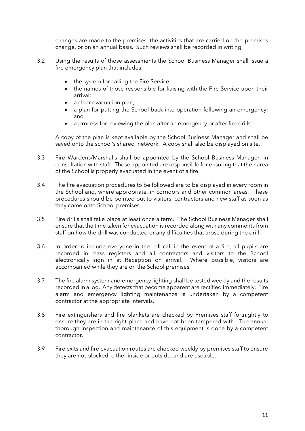changes are made to the premises, the activities that are carried on the premises change, or on an annual basis. Such reviews shall be recorded in writing.

- 3.2 Using the results of those assessments the School Business Manager shall issue a fire emergency plan that includes:
	- the system for calling the Fire Service;
	- the names of those responsible for liaising with the Fire Service upon their arrival;
	- a clear evacuation plan;
	- a plan for putting the School back into operation following an emergency; and
	- a process for reviewing the plan after an emergency or after fire drills.

A copy of the plan is kept available by the School Business Manager and shall be saved onto the school's shared network. A copy shall also be displayed on site.

- 3.3 Fire Wardens/Marshalls shall be appointed by the School Business Manager, in consultation with staff. Those appointed are responsible for ensuring that their area of the School is properly evacuated in the event of a fire.
- 3.4 The fire evacuation procedures to be followed are to be displayed in every room in the School and, where appropriate, in corridors and other common areas. These procedures should be pointed out to visitors, contractors and new staff as soon as they come onto School premises.
- 3.5 Fire drills shall take place at least once a term. The School Business Manager shall ensure that the time taken for evacuation is recorded along with any comments from staff on how the drill was conducted or any difficulties that arose during the drill.
- 3.6 In order to include everyone in the roll call in the event of a fire, all pupils are recorded in class registers and all contractors and visitors to the School electronically sign in at Reception on arrival. Where possible, visitors are accompanied while they are on the School premises.
- 3.7 The fire alarm system and emergency lighting shall be tested weekly and the results recorded in a log. Any defects that become apparent are rectified immediately. Fire alarm and emergency lighting maintenance is undertaken by a competent contractor at the appropriate intervals.
- 3.8 Fire extinguishers and fire blankets are checked by Premises staff fortnightly to ensure they are in the right place and have not been tampered with. The annual thorough inspection and maintenance of this equipment is done by a competent contractor.
- 3.9 Fire exits and fire evacuation routes are checked weekly by premises staff to ensure they are not blocked, either inside or outside, and are useable.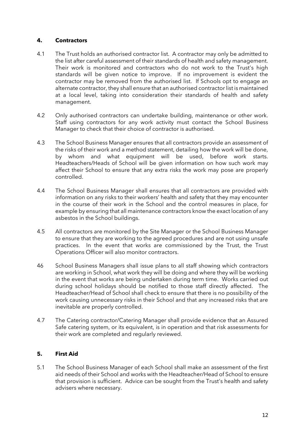## <span id="page-11-0"></span>**4. Contractors**

- 4.1 The Trust holds an authorised contractor list. A contractor may only be admitted to the list after careful assessment of their standards of health and safety management. Their work is monitored and contractors who do not work to the Trust's high standards will be given notice to improve. If no improvement is evident the contractor may be removed from the authorised list. If Schools opt to engage an alternate contractor, they shall ensure that an authorised contractor list is maintained at a local level, taking into consideration their standards of health and safety management.
- 4.2 Only authorised contractors can undertake building, maintenance or other work. Staff using contractors for any work activity must contact the School Business Manager to check that their choice of contractor is authorised.
- 4.3 The School Business Manager ensures that all contractors provide an assessment of the risks of their work and a method statement, detailing how the work will be done, by whom and what equipment will be used, before work starts. Headteachers/Heads of School will be given information on how such work may affect their School to ensure that any extra risks the work may pose are properly controlled.
- 4.4 The School Business Manager shall ensures that all contractors are provided with information on any risks to their workers' health and safety that they may encounter in the course of their work in the School and the control measures in place, for example by ensuring that all maintenance contractors know the exact location of any asbestos in the School buildings.
- 4.5 All contractors are monitored by the Site Manager or the School Business Manager to ensure that they are working to the agreed procedures and are not using unsafe practices. In the event that works are commissioned by the Trust, the Trust Operations Officer will also monitor contractors.
- 46 School Business Managers shall issue plans to all staff showing which contractors are working in School, what work they will be doing and where they will be working in the event that works are being undertaken during term time. Works carried out during school holidays should be notified to those staff directly affected. The Headteacher/Head of School shall check to ensure that there is no possibility of the work causing unnecessary risks in their School and that any increased risks that are inevitable are properly controlled.
- 4.7 The Catering contractor/Catering Manager shall provide evidence that an Assured Safe catering system, or its equivalent, is in operation and that risk assessments for their work are completed and regularly reviewed.

## <span id="page-11-1"></span>**5. First Aid**

5.1 The School Business Manager of each School shall make an assessment of the first aid needs of their School and works with the Headteacher/Head of School to ensure that provision is sufficient. Advice can be sought from the Trust's health and safety advisers where necessary.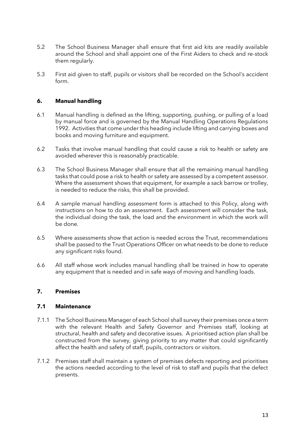- 5.2 The School Business Manager shall ensure that first aid kits are readily available around the School and shall appoint one of the First Aiders to check and re-stock them regularly.
- 5.3 First aid given to staff, pupils or visitors shall be recorded on the School's accident form.

## <span id="page-12-0"></span>**6. Manual handling**

- 6.1 Manual handling is defined as the lifting, supporting, pushing, or pulling of a load by manual force and is governed by the Manual Handling Operations Regulations 1992. Activities that come under this heading include lifting and carrying boxes and books and moving furniture and equipment.
- 6.2 Tasks that involve manual handling that could cause a risk to health or safety are avoided wherever this is reasonably practicable.
- 6.3 The School Business Manager shall ensure that all the remaining manual handling tasks that could pose a risk to health or safety are assessed by a competent assessor. Where the assessment shows that equipment, for example a sack barrow or trolley, is needed to reduce the risks, this shall be provided.
- 6.4 A sample manual handling assessment form is attached to this Policy, along with instructions on how to do an assessment. Each assessment will consider the task, the individual doing the task, the load and the environment in which the work will be done.
- 6.5 Where assessments show that action is needed across the Trust, recommendations shall be passed to the Trust Operations Officer on what needs to be done to reduce any significant risks found.
- 6.6 All staff whose work includes manual handling shall be trained in how to operate any equipment that is needed and in safe ways of moving and handling loads.

#### <span id="page-12-1"></span>**7. Premises**

#### <span id="page-12-2"></span>**7.1 Maintenance**

- 7.1.1 The School Business Manager of each School shall survey their premises once a term with the relevant Health and Safety Governor and Premises staff, looking at structural, health and safety and decorative issues. A prioritised action plan shall be constructed from the survey, giving priority to any matter that could significantly affect the health and safety of staff, pupils, contractors or visitors.
- 7.1.2 Premises staff shall maintain a system of premises defects reporting and prioritises the actions needed according to the level of risk to staff and pupils that the defect presents.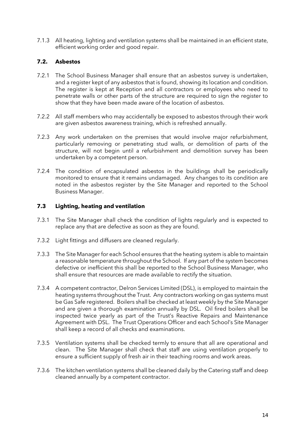7.1.3 All heating, lighting and ventilation systems shall be maintained in an efficient state, efficient working order and good repair.

## <span id="page-13-0"></span>**7.2. Asbestos**

- 7.2.1 The School Business Manager shall ensure that an asbestos survey is undertaken, and a register kept of any asbestos that is found, showing its location and condition. The register is kept at Reception and all contractors or employees who need to penetrate walls or other parts of the structure are required to sign the register to show that they have been made aware of the location of asbestos.
- 7.2.2 All staff members who may accidentally be exposed to asbestos through their work are given asbestos awareness training, which is refreshed annually.
- 7.2.3 Any work undertaken on the premises that would involve major refurbishment, particularly removing or penetrating stud walls, or demolition of parts of the structure, will not begin until a refurbishment and demolition survey has been undertaken by a competent person.
- 7.2.4 The condition of encapsulated asbestos in the buildings shall be periodically monitored to ensure that it remains undamaged. Any changes to its condition are noted in the asbestos register by the Site Manager and reported to the School Business Manager.

#### <span id="page-13-1"></span>**7.3 Lighting, heating and ventilation**

- 7.3.1 The Site Manager shall check the condition of lights regularly and is expected to replace any that are defective as soon as they are found.
- 7.3.2 Light fittings and diffusers are cleaned regularly.
- 7.3.3 The Site Manager for each School ensures that the heating system is able to maintain a reasonable temperature throughout the School. If any part of the system becomes defective or inefficient this shall be reported to the School Business Manager, who shall ensure that resources are made available to rectify the situation.
- 7.3.4 A competent contractor, Delron Services Limited (DSL), is employed to maintain the heating systems throughout the Trust. Any contractors working on gas systems must be Gas Safe registered. Boilers shall be checked at least weekly by the Site Manager and are given a thorough examination annually by DSL. Oil fired boilers shall be inspected twice yearly as part of the Trust's Reactive Repairs and Maintenance Agreement with DSL. The Trust Operations Officer and each School's Site Manager shall keep a record of all checks and examinations.
- 7.3.5 Ventilation systems shall be checked termly to ensure that all are operational and clean. The Site Manager shall check that staff are using ventilation properly to ensure a sufficient supply of fresh air in their teaching rooms and work areas.
- 7.3.6 The kitchen ventilation systems shall be cleaned daily by the Catering staff and deep cleaned annually by a competent contractor.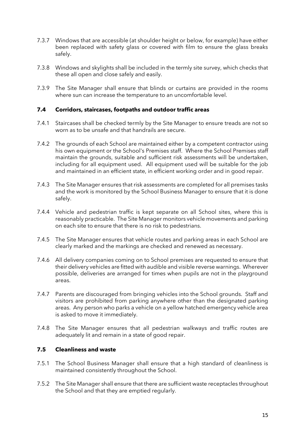- 7.3.7 Windows that are accessible (at shoulder height or below, for example) have either been replaced with safety glass or covered with film to ensure the glass breaks safely.
- 7.3.8 Windows and skylights shall be included in the termly site survey, which checks that these all open and close safely and easily.
- 7.3.9 The Site Manager shall ensure that blinds or curtains are provided in the rooms where sun can increase the temperature to an uncomfortable level.

## <span id="page-14-0"></span>**7.4 Corridors, staircases, footpaths and outdoor traffic areas**

- 7.4.1 Staircases shall be checked termly by the Site Manager to ensure treads are not so worn as to be unsafe and that handrails are secure.
- 7.4.2 The grounds of each School are maintained either by a competent contractor using his own equipment or the School's Premises staff. Where the School Premises staff maintain the grounds, suitable and sufficient risk assessments will be undertaken, including for all equipment used. All equipment used will be suitable for the job and maintained in an efficient state, in efficient working order and in good repair.
- 7.4.3 The Site Manager ensures that risk assessments are completed for all premises tasks and the work is monitored by the School Business Manager to ensure that it is done safely.
- 7.4.4 Vehicle and pedestrian traffic is kept separate on all School sites, where this is reasonably practicable. The Site Manager monitors vehicle movements and parking on each site to ensure that there is no risk to pedestrians.
- 7.4.5 The Site Manager ensures that vehicle routes and parking areas in each School are clearly marked and the markings are checked and renewed as necessary.
- 7.4.6 All delivery companies coming on to School premises are requested to ensure that their delivery vehicles are fitted with audible and visible reverse warnings. Wherever possible, deliveries are arranged for times when pupils are not in the playground areas.
- 7.4.7 Parents are discouraged from bringing vehicles into the School grounds. Staff and visitors are prohibited from parking anywhere other than the designated parking areas. Any person who parks a vehicle on a yellow hatched emergency vehicle area is asked to move it immediately.
- 7.4.8 The Site Manager ensures that all pedestrian walkways and traffic routes are adequately lit and remain in a state of good repair.

## <span id="page-14-1"></span>**7.5 Cleanliness and waste**

- 7.5.1 The School Business Manager shall ensure that a high standard of cleanliness is maintained consistently throughout the School.
- 7.5.2 The Site Manager shall ensure that there are sufficient waste receptacles throughout the School and that they are emptied regularly.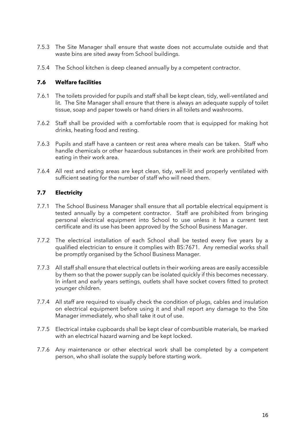- 7.5.3 The Site Manager shall ensure that waste does not accumulate outside and that waste bins are sited away from School buildings.
- 7.5.4 The School kitchen is deep cleaned annually by a competent contractor.

## <span id="page-15-0"></span>**7.6 Welfare facilities**

- 7.6.1 The toilets provided for pupils and staff shall be kept clean, tidy, well-ventilated and lit. The Site Manager shall ensure that there is always an adequate supply of toilet tissue, soap and paper towels or hand driers in all toilets and washrooms.
- 7.6.2 Staff shall be provided with a comfortable room that is equipped for making hot drinks, heating food and resting.
- 7.6.3 Pupils and staff have a canteen or rest area where meals can be taken. Staff who handle chemicals or other hazardous substances in their work are prohibited from eating in their work area.
- 7.6.4 All rest and eating areas are kept clean, tidy, well-lit and properly ventilated with sufficient seating for the number of staff who will need them.

## <span id="page-15-1"></span>**7.7 Electricity**

- 7.7.1 The School Business Manager shall ensure that all portable electrical equipment is tested annually by a competent contractor. Staff are prohibited from bringing personal electrical equipment into School to use unless it has a current test certificate and its use has been approved by the School Business Manager.
- 7.7.2 The electrical installation of each School shall be tested every five years by a qualified electrician to ensure it complies with BS:7671. Any remedial works shall be promptly organised by the School Business Manager.
- 7.7.3 All staff shall ensure that electrical outlets in their working areas are easily accessible by them so that the power supply can be isolated quickly if this becomes necessary. In infant and early years settings, outlets shall have socket covers fitted to protect younger children.
- 7.7.4 All staff are required to visually check the condition of plugs, cables and insulation on electrical equipment before using it and shall report any damage to the Site Manager immediately, who shall take it out of use.
- 7.7.5 Electrical intake cupboards shall be kept clear of combustible materials, be marked with an electrical hazard warning and be kept locked.
- 7.7.6 Any maintenance or other electrical work shall be completed by a competent person, who shall isolate the supply before starting work.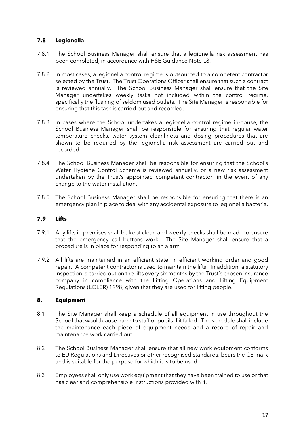## <span id="page-16-0"></span>**7.8 Legionella**

- 7.8.1 The School Business Manager shall ensure that a legionella risk assessment has been completed, in accordance with HSE Guidance Note L8.
- 7.8.2 In most cases, a legionella control regime is outsourced to a competent contractor selected by the Trust. The Trust Operations Officer shall ensure that such a contract is reviewed annually. The School Business Manager shall ensure that the Site Manager undertakes weekly tasks not included within the control regime, specifically the flushing of seldom used outlets. The Site Manager is responsible for ensuring that this task is carried out and recorded.
- 7.8.3 In cases where the School undertakes a legionella control regime in-house, the School Business Manager shall be responsible for ensuring that regular water temperature checks, water system cleanliness and dosing procedures that are shown to be required by the legionella risk assessment are carried out and recorded.
- 7.8.4 The School Business Manager shall be responsible for ensuring that the School's Water Hygiene Control Scheme is reviewed annually, or a new risk assessment undertaken by the Trust's appointed competent contractor, in the event of any change to the water installation.
- 7.8.5 The School Business Manager shall be responsible for ensuring that there is an emergency plan in place to deal with any accidental exposure to legionella bacteria.

## <span id="page-16-1"></span>**7.9 Lifts**

- 7.9.1 Any lifts in premises shall be kept clean and weekly checks shall be made to ensure that the emergency call buttons work. The Site Manager shall ensure that a procedure is in place for responding to an alarm
- 7.9.2 All lifts are maintained in an efficient state, in efficient working order and good repair. A competent contractor is used to maintain the lifts. In addition, a statutory inspection is carried out on the lifts every six months by the Trust's chosen insurance company in compliance with the Lifting Operations and Lifting Equipment Regulations (LOLER) 1998, given that they are used for lifting people.

#### <span id="page-16-2"></span>**8. Equipment**

- 8.1 The Site Manager shall keep a schedule of all equipment in use throughout the School that would cause harm to staff or pupils if it failed. The schedule shall include the maintenance each piece of equipment needs and a record of repair and maintenance work carried out.
- 8.2 The School Business Manager shall ensure that all new work equipment conforms to EU Regulations and Directives or other recognised standards, bears the CE mark and is suitable for the purpose for which it is to be used.
- 8.3 Employees shall only use work equipment that they have been trained to use or that has clear and comprehensible instructions provided with it.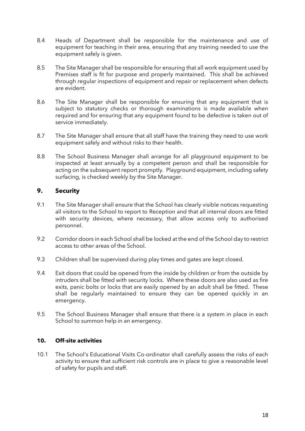- 8.4 Heads of Department shall be responsible for the maintenance and use of equipment for teaching in their area, ensuring that any training needed to use the equipment safely is given.
- 8.5 The Site Manager shall be responsible for ensuring that all work equipment used by Premises staff is fit for purpose and properly maintained. This shall be achieved through regular inspections of equipment and repair or replacement when defects are evident.
- 8.6 The Site Manager shall be responsible for ensuring that any equipment that is subject to statutory checks or thorough examinations is made available when required and for ensuring that any equipment found to be defective is taken out of service immediately.
- 8.7 The Site Manager shall ensure that all staff have the training they need to use work equipment safely and without risks to their health.
- 8.8 The School Business Manager shall arrange for all playground equipment to be inspected at least annually by a competent person and shall be responsible for acting on the subsequent report promptly. Playground equipment, including safety surfacing, is checked weekly by the Site Manager.

## **9. Security**

- 9.1 The Site Manager shall ensure that the School has clearly visible notices requesting all visitors to the School to report to Reception and that all internal doors are fitted with security devices, where necessary, that allow access only to authorised personnel.
- 9.2 Corridor doors in each School shall be locked at the end of the School day to restrict access to other areas of the School.
- 9.3 Children shall be supervised during play times and gates are kept closed.
- 9.4 Exit doors that could be opened from the inside by children or from the outside by intruders shall be fitted with security locks. Where these doors are also used as fire exits, panic bolts or locks that are easily opened by an adult shall be fitted. These shall be regularly maintained to ensure they can be opened quickly in an emergency.
- 9.5 The School Business Manager shall ensure that there is a system in place in each School to summon help in an emergency.

## <span id="page-17-0"></span>**10. Off-site activities**

10.1 The School's Educational Visits Co-ordinator shall carefully assess the risks of each activity to ensure that sufficient risk controls are in place to give a reasonable level of safety for pupils and staff.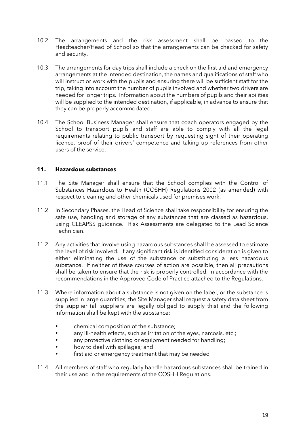- 10.2 The arrangements and the risk assessment shall be passed to the Headteacher/Head of School so that the arrangements can be checked for safety and security.
- 10.3 The arrangements for day trips shall include a check on the first aid and emergency arrangements at the intended destination, the names and qualifications of staff who will instruct or work with the pupils and ensuring there will be sufficient staff for the trip, taking into account the number of pupils involved and whether two drivers are needed for longer trips. Information about the numbers of pupils and their abilities will be supplied to the intended destination, if applicable, in advance to ensure that they can be properly accommodated.
- 10.4 The School Business Manager shall ensure that coach operators engaged by the School to transport pupils and staff are able to comply with all the legal requirements relating to public transport by requesting sight of their operating licence, proof of their drivers' competence and taking up references from other users of the service.

## <span id="page-18-0"></span>**11. Hazardous substances**

- 11.1 The Site Manager shall ensure that the School complies with the Control of Substances Hazardous to Health (COSHH) Regulations 2002 (as amended) with respect to cleaning and other chemicals used for premises work.
- 11.2 In Secondary Phases, the Head of Science shall take responsibility for ensuring the safe use, handling and storage of any substances that are classed as hazardous, using CLEAPSS guidance. Risk Assessments are delegated to the Lead Science Technician.
- 11.2 Any activities that involve using hazardous substances shall be assessed to estimate the level of risk involved. If any significant risk is identified consideration is given to either eliminating the use of the substance or substituting a less hazardous substance. If neither of these courses of action are possible, then all precautions shall be taken to ensure that the risk is properly controlled, in accordance with the recommendations in the Approved Code of Practice attached to the Regulations.
- 11.3 Where information about a substance is not given on the label, or the substance is supplied in large quantities, the Site Manager shall request a safety data sheet from the supplier (all suppliers are legally obliged to supply this) and the following information shall be kept with the substance:
	- chemical composition of the substance;
	- any ill-health effects, such as irritation of the eyes, narcosis, etc.;
	- any protective clothing or equipment needed for handling;
	- how to deal with spillages; and
	- first aid or emergency treatment that may be needed
- 11.4 All members of staff who regularly handle hazardous substances shall be trained in their use and in the requirements of the COSHH Regulations.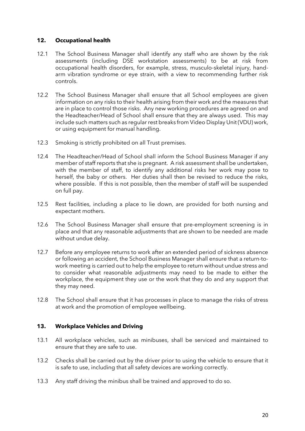#### <span id="page-19-0"></span>**12. Occupational health**

- 12.1 The School Business Manager shall identify any staff who are shown by the risk assessments (including DSE workstation assessments) to be at risk from occupational health disorders, for example, stress, musculo-skeletal injury, handarm vibration syndrome or eye strain, with a view to recommending further risk controls.
- 12.2 The School Business Manager shall ensure that all School employees are given information on any risks to their health arising from their work and the measures that are in place to control those risks. Any new working procedures are agreed on and the Headteacher/Head of School shall ensure that they are always used. This may include such matters such as regular rest breaks from Video Display Unit (VDU) work, or using equipment for manual handling.
- 12.3 Smoking is strictly prohibited on all Trust premises.
- 12.4 The Headteacher/Head of School shall inform the School Business Manager if any member of staff reports that she is pregnant. A risk assessment shall be undertaken, with the member of staff, to identify any additional risks her work may pose to herself, the baby or others. Her duties shall then be revised to reduce the risks, where possible. If this is not possible, then the member of staff will be suspended on full pay.
- 12.5 Rest facilities, including a place to lie down, are provided for both nursing and expectant mothers.
- 12.6 The School Business Manager shall ensure that pre-employment screening is in place and that any reasonable adjustments that are shown to be needed are made without undue delay.
- 12.7 Before any employee returns to work after an extended period of sickness absence or following an accident, the School Business Manager shall ensure that a return-towork meeting is carried out to help the employee to return without undue stress and to consider what reasonable adjustments may need to be made to either the workplace, the equipment they use or the work that they do and any support that they may need.
- 12.8 The School shall ensure that it has processes in place to manage the risks of stress at work and the promotion of employee wellbeing.

## <span id="page-19-1"></span>**13. Workplace Vehicles and Driving**

- 13.1 All workplace vehicles, such as minibuses, shall be serviced and maintained to ensure that they are safe to use.
- 13.2 Checks shall be carried out by the driver prior to using the vehicle to ensure that it is safe to use, including that all safety devices are working correctly.
- 13.3 Any staff driving the minibus shall be trained and approved to do so.